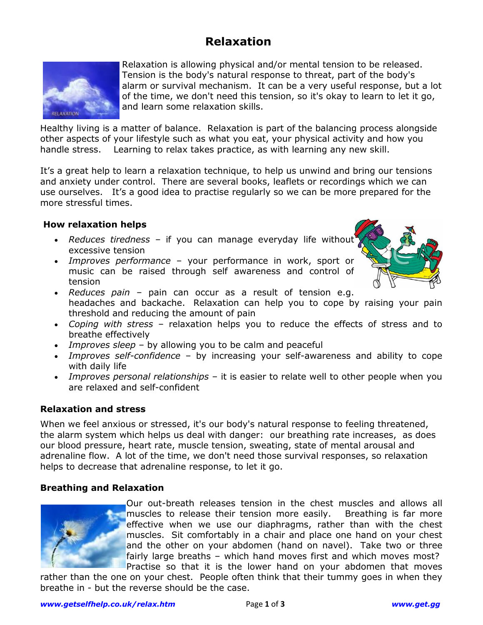# **Relaxation**



Relaxation is allowing physical and/or mental tension to be released. Tension is the body's natural response to threat, part of the body's alarm or survival mechanism. It can be a very useful response, but a lot of the time, we don't need this tension, so it's okay to learn to let it go, and learn some relaxation skills.

Healthy living is a matter of balance. Relaxation is part of the balancing process alongside other aspects of your lifestyle such as what you eat, your physical activity and how you handle stress. Learning to relax takes practice, as with learning any new skill.

It's a great help to learn a relaxation technique, to help us unwind and bring our tensions and anxiety under control. There are several books, leaflets or recordings which we can use ourselves. It's a good idea to practise regularly so we can be more prepared for the more stressful times.

#### **How relaxation helps**

- *Reduces tiredness* if you can manage everyday life without excessive tension
- *Improves performance* your performance in work, sport or music can be raised through self awareness and control of tension



- *Reduces pain* pain can occur as a result of tension e.g. headaches and backache. Relaxation can help you to cope by raising your pain threshold and reducing the amount of pain
- *Coping with stress* relaxation helps you to reduce the effects of stress and to breathe effectively
- *Improves sleep* by allowing you to be calm and peaceful
- *Improves self-confidence* by increasing your self-awareness and ability to cope with daily life
- *Improves personal relationships* it is easier to relate well to other people when you are relaxed and self-confident

#### **Relaxation and stress**

When we feel anxious or stressed, it's our body's natural response to feeling threatened, the alarm system which helps us deal with danger: our breathing rate increases, as does our blood pressure, heart rate, muscle tension, sweating, state of mental arousal and adrenaline flow. A lot of the time, we don't need those survival responses, so relaxation helps to decrease that adrenaline response, to let it go.

#### **Breathing and Relaxation**



Our out-breath releases tension in the chest muscles and allows all muscles to release their tension more easily. Breathing is far more effective when we use our diaphragms, rather than with the chest muscles. Sit comfortably in a chair and place one hand on your chest and the other on your abdomen (hand on navel). Take two or three fairly large breaths – which hand moves first and which moves most? Practise so that it is the lower hand on your abdomen that moves

rather than the one on your chest. People often think that their tummy goes in when they breathe in - but the reverse should be the case.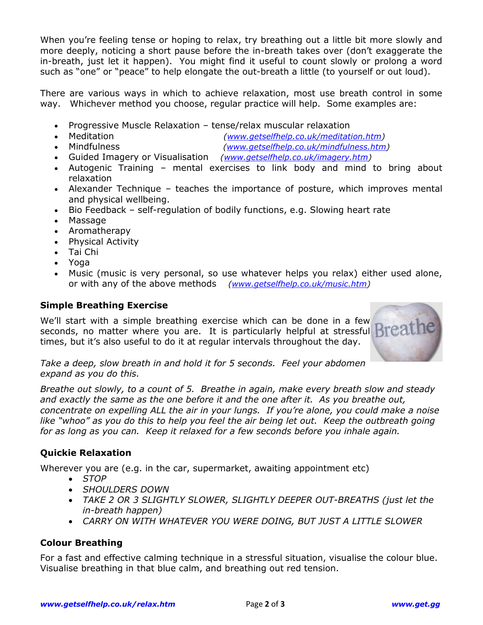When you're feeling tense or hoping to relax, try breathing out a little bit more slowly and more deeply, noticing a short pause before the in-breath takes over (don't exaggerate the in-breath, just let it happen). You might find it useful to count slowly or prolong a word such as "one" or "peace" to help elongate the out-breath a little (to yourself or out loud).

There are various ways in which to achieve relaxation, most use breath control in some way. Whichever method you choose, regular practice will help. Some examples are:

- Progressive Muscle Relaxation tense/relax muscular relaxation
- Meditation *[\(www.getselfhelp.co.uk/meditation.htm\)](http://www.getselfhelp.co.uk/meditation.htm)*
- Mindfulness *[\(www.getselfhelp.co.uk/mindfulness.htm\)](http://www.getselfhelp.co.uk/mindfulness.htm)*
- Guided Imagery or Visualisation *[\(www.getselfhelp.co.uk/imagery.htm\)](http://www.getselfhelp.co.uk/imagery.htm)*
- Autogenic Training mental exercises to link body and mind to bring about relaxation
- Alexander Technique teaches the importance of posture, which improves mental and physical wellbeing.
- Bio Feedback self-regulation of bodily functions, e.g. Slowing heart rate
- Massage
- Aromatherapy
- Physical Activity
- Tai Chi
- Yoga
- Music (music is very personal, so use whatever helps you relax) either used alone, or with any of the above methods *[\(www.getselfhelp.co.uk/music.htm\)](http://www.getselfhelp.co.uk/music.htm)*

## **Simple Breathing Exercise**

We'll start with a simple breathing exercise which can be done in a few seconds, no matter where you are. It is particularly helpful at stressful **Brea** times, but it's also useful to do it at regular intervals throughout the day.



*Take a deep, slow breath in and hold it for 5 seconds. Feel your abdomen expand as you do this.*

*Breathe out slowly, to a count of 5. Breathe in again, make every breath slow and steady and exactly the same as the one before it and the one after it. As you breathe out, concentrate on expelling ALL the air in your lungs. If you're alone, you could make a noise like "whoo" as you do this to help you feel the air being let out. Keep the outbreath going for as long as you can. Keep it relaxed for a few seconds before you inhale again.*

## **Quickie Relaxation**

Wherever you are (e.g. in the car, supermarket, awaiting appointment etc)

- *STOP*
- *SHOULDERS DOWN*
- *TAKE 2 OR 3 SLIGHTLY SLOWER, SLIGHTLY DEEPER OUT-BREATHS (just let the in-breath happen)*
- *CARRY ON WITH WHATEVER YOU WERE DOING, BUT JUST A LITTLE SLOWER*

## **Colour Breathing**

For a fast and effective calming technique in a stressful situation, visualise the colour blue. Visualise breathing in that blue calm, and breathing out red tension.